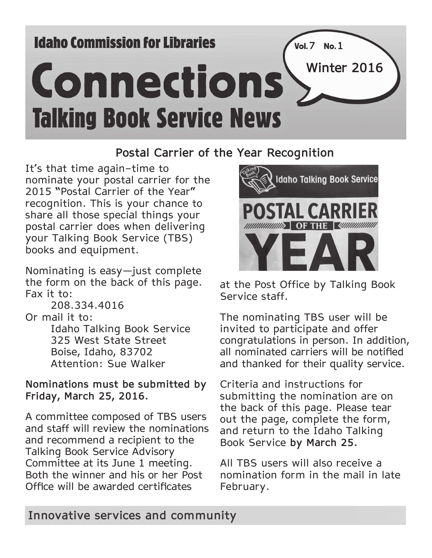# **Idaho Commission for Libraries**



## **Postal Carrier of the Year Recognition**

It's that time again–time to nominate your postal carrier for the 2015 "Postal Carrier of the Year" recognition. This is your chance to share all those special things your postal carrier does when delivering your Talking Book Service (TBS) books and equipment.

Nominating is easy—just complete the form on the back of this page. Fax it to:

208.334.4016 Or mail it to: Idaho Talking Book Service 325 West State Street Boise, Idaho, 83702 Attention: Sue Walker

**Nominations must be submitted by Friday, March 25, 2016.**

A committee composed of TBS users and staff will review the nominations and recommend a recipient to the Talking Book Service Advisory Committee at its June 1 meeting. Both the winner and his or her Post Office will be awarded certificates



at the Post Office by Talking Book Service staff.

The nominating TBS user will be invited to participate and offer congratulations in person. In addition, all nominated carriers will be notified and thanked for their quality service.

Criteria and instructions for submitting the nomination are on the back of this page. Please tear out the page, complete the form, and return to the Idaho Talking Book Service **by March 25.** 

All TBS users will also receive a nomination form in the mail in late February.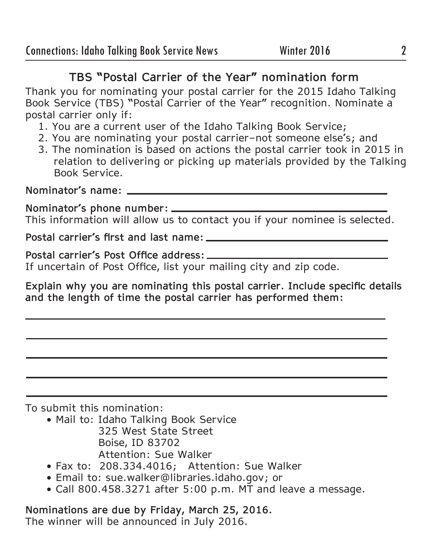## **TBS "Postal Carrier of the Year" nomination form**

Thank you for nominating your postal carrier for the 2015 Idaho Talking Book Service (TBS) "Postal Carrier of the Year" recognition. Nominate a postal carrier only if:

- 1. You are a current user of the Idaho Talking Book Service;
- 2. You are nominating your postal carrier–not someone else's; and
- 3. The nomination is based on actions the postal carrier took in 2015 in relation to delivering or picking up materials provided by the Talking Book Service.

**Nominator's name:**

**Nominator's phone number:** This information will allow us to contact you if your nominee is selected.

**Postal carrier's first and last name:**

**Postal carrier's Post Office address:** If uncertain of Post Office, list your mailing city and zip code.

**Explain why you are nominating this postal carrier. Include specific details and the length of time the postal carrier has performed them:** 

To submit this nomination:

- Mail to: Idaho Talking Book Service 325 West State Street Boise, ID 83702 Attention: Sue Walker
- Fax to: 208.334.4016; Attention: Sue Walker
- Email to: sue.walker@libraries.idaho.gov; or
- Call 800.458.3271 after 5:00 p.m. MT and leave a message.

**Nominations are due by Friday, March 25, 2016.** The winner will be announced in July 2016.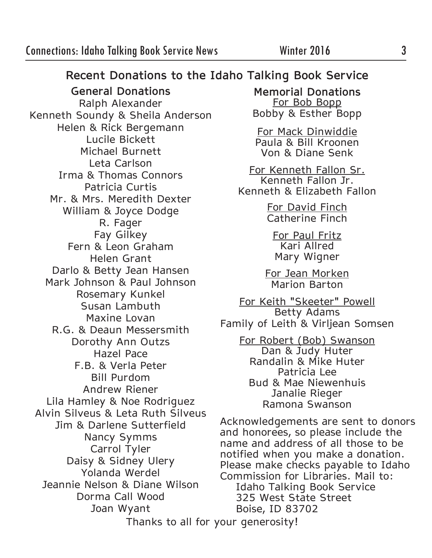## **Recent Donations to the Idaho Talking Book Service**

**General Donations**  Ralph Alexander Kenneth Soundy & Sheila Anderson Helen & Rick Bergemann Lucile Bickett Michael Burnett Leta Carlson Irma & Thomas Connors Patricia Curtis Mr. & Mrs. Meredith Dexter William & Joyce Dodge R. Fager Fay Gilkey Fern & Leon Graham Helen Grant Darlo & Betty Jean Hansen Mark Johnson & Paul Johnson Rosemary Kunkel Susan Lambuth Maxine Lovan R.G. & Deaun Messersmith Dorothy Ann Outzs Hazel Pace F.B. & Verla Peter Bill Purdom Andrew Riener Lila Hamley & Noe Rodriguez Alvin Silveus & Leta Ruth Silveus Jim & Darlene Sutterfield Nancy Symms Carrol Tyler Daisy & Sidney Ulery Yolanda Werdel Jeannie Nelson & Diane Wilson Dorma Call Wood Joan Wyant

**Memorial Donations** For Bob Bopp Bobby & Esther Bopp

For Mack Dinwiddie Paula & Bill Kroonen Von & Diane Senk

For Kenneth Fallon Sr. Kenneth Fallon Jr. Kenneth & Elizabeth Fallon

> For David Finch Catherine Finch

For Paul Fritz Kari Allred Mary Wigner

For Jean Morken Marion Barton

For Keith "Skeeter" Powell Betty Adams Family of Leith & Virljean Somsen

For Robert (Bob) Swanson Dan & Judy Huter Randalin & Mike Huter Patricia Lee Bud & Mae Niewenhuis Janalie Rieger Ramona Swanson

Acknowledgements are sent to donors and honorees, so please include the name and address of all those to be notified when you make a donation. Please make checks payable to Idaho Commission for Libraries. Mail to: Idaho Talking Book Service 325 West State Street Boise, ID 83702

Thanks to all for your generosity!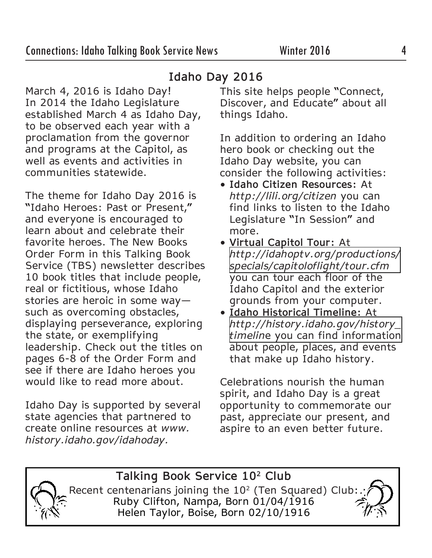March 4, 2016 is Idaho Day! In 2014 the Idaho Legislature established March 4 as Idaho Day, to be observed each year with a proclamation from the governor and programs at the Capitol, as well as events and activities in communities statewide.

The theme for Idaho Day 2016 is "Idaho Heroes: Past or Present," and everyone is encouraged to learn about and celebrate their favorite heroes. The New Books Order Form in this Talking Book Service (TBS) newsletter describes 10 book titles that include people, real or fictitious, whose Idaho stories are heroic in some way such as overcoming obstacles, displaying perseverance, exploring the state, or exemplifying leadership. Check out the titles on pages 6-8 of the Order Form and see if there are Idaho heroes you would like to read more about.

Idaho Day is supported by several state agencies that partnered to create online resources at *www. history.idaho.gov/idahoday.* 

## **Idaho Day 2016**

This site helps people "Connect, Discover, and Educate" about all things Idaho.

In addition to ordering an Idaho hero book or checking out the Idaho Day website, you can consider the following activities:

- **• Idaho Citizen Resources:** At *http://lili.org/citizen* you can find links to listen to the Idaho Legislature "In Session" and more.
- **• Virtual Capitol Tour:** At *[http://idahoptv.org/productions/](http://idahoptv.org/productions/specials/capitoloflight/tour.cfm) specials/capitoloflight/tour.cfm*  you can tour each floor of the Idaho Capitol and the exterior grounds from your computer.
- **• Idaho Historical Timeline:** At *[http://history.idaho.gov/history\\_](http://history.idaho.gov/history_) timelin*e you can find information about people, places, and events that make up Idaho history.

Celebrations nourish the human spirit, and Idaho Day is a great opportunity to commemorate our past, appreciate our present, and aspire to an even better future.

### **Talking Book Service 102 Club**

Recent centenarians joining the  $10<sup>2</sup>$  (Ten Squared) Club: Ruby Clifton, Nampa, Born 01/04/1916 Helen Taylor, Boise, Born 02/10/1916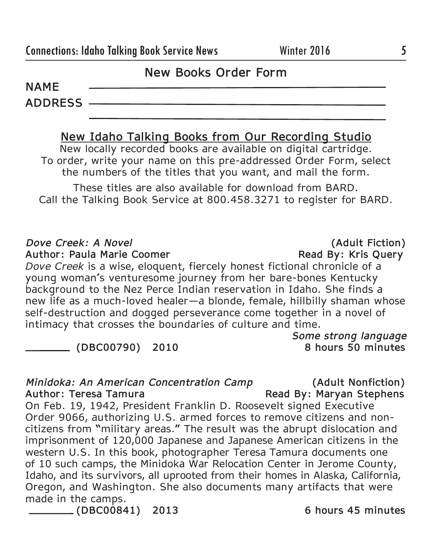### **New Books Order Form**

**NAME ADDRESS** 

### **New Idaho Talking Books from Our Recording Studio**

New locally recorded books are available on digital cartridge. To order, write your name on this pre-addressed Order Form, select the numbers of the titles that you want, and mail the form.

These titles are also available for download from BARD. Call the Talking Book Service at 800.458.3271 to register for BARD.

### *Dove Creek: A Novel* **(Adult Fiction)**

Author: Paula Marie Coomer **Read By: Kris Query Read By: Kris Query** 

*Dove Creek* is a wise, eloquent, fiercely honest fictional chronicle of a young woman's venturesome journey from her bare-bones Kentucky background to the Nez Perce Indian reservation in Idaho. She finds a new life as a much-loved healer—a blonde, female, hillbilly shaman whose self-destruction and dogged perseverance come together in a novel of intimacy that crosses the boundaries of culture and time.

*Some strong language*

 **(DBC00790) 2010** 

### *Minidoka: An American Concentration Camp* **(Adult Nonfiction)**

Author: Teresa Tamura **Read By: Maryan Stephens** On Feb. 19, 1942, President Franklin D. Roosevelt signed Executive Order 9066, authorizing U.S. armed forces to remove citizens and noncitizens from "military areas." The result was the abrupt dislocation and imprisonment of 120,000 Japanese and Japanese American citizens in the western U.S. In this book, photographer Teresa Tamura documents one of 10 such camps, the Minidoka War Relocation Center in Jerome County, Idaho, and its survivors, all uprooted from their homes in Alaska, California, Oregon, and Washington. She also documents many artifacts that were made in the camps.

**(DBC00841) 2013 6 hours 45 minutes**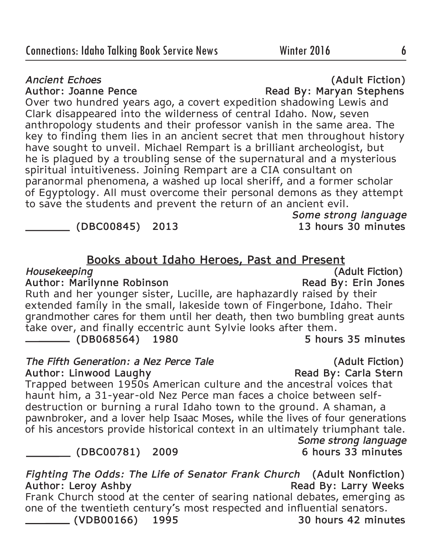### *Ancient Echoes* **(Adult Fiction)**

Author: Joanne Pence **Read By: Maryan Stephens** Over two hundred years ago, a covert expedition shadowing Lewis and Clark disappeared into the wilderness of central Idaho. Now, seven anthropology students and their professor vanish in the same area. The key to finding them lies in an ancient secret that men throughout history have sought to unveil. Michael Rempart is a brilliant archeologist, but he is plagued by a troubling sense of the supernatural and a mysterious spiritual intuitiveness. Joining Rempart are a CIA consultant on paranormal phenomena, a washed up local sheriff, and a former scholar of Egyptology. All must overcome their personal demons as they attempt to save the students and prevent the return of an ancient evil.

 **(DBC00845) 2013 13 hours 30 minutes** 

### **Books about Idaho Heroes, Past and Present**

*Some strong language* 

*Housekeeping* **(Adult Fiction)** Author: Marilynne Robinson **Read By: Erin Jones** 

Ruth and her younger sister, Lucille, are haphazardly raised by their extended family in the small, lakeside town of Fingerbone, Idaho. Their grandmother cares for them until her death, then two bumbling great aunts take over, and finally eccentric aunt Sylvie looks after them.  **(DB068564) 1980 5 hours 35 minutes**

*The Fifth Generation: a Nez Perce Tale* **Constanting (Adult Fiction)**<br>Author: Linwood Laughy **Read By: Carla Stern Author: Linwood Laughy** 

Trapped between 1950s American culture and the ancestral voices that haunt him, a 31-year-old Nez Perce man faces a choice between selfdestruction or burning a rural Idaho town to the ground. A shaman, a pawnbroker, and a lover help Isaac Moses, while the lives of four generations of his ancestors provide historical context in an ultimately triumphant tale. *Some strong language*

*CDBC00781)* 2009

*Fighting The Odds: The Life of Senator Frank Church* **(Adult Nonfiction)** Author: Leroy Ashby **Read By: Larry Weeks** Frank Church stood at the center of searing national debates, emerging as one of the twentieth century's most respected and influential senators.  **(VDB00166) 1995 30 hours 42 minutes**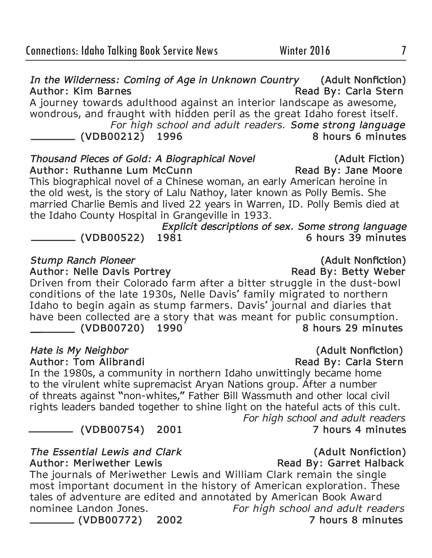*In the Wilderness: Coming of Age in Unknown Country* **(Adult Nonfiction)** Author: Kim Barnes **Read By: Carla Stern** A journey towards adulthood against an interior landscape as awesome, wondrous, and fraught with hidden peril as the great Idaho forest itself. *For high school and adult readers. Some strong language*  **(VDB00212)** 1996

*Thousand Pieces of Gold: A Biographical Novel* **(Adult Fiction)** Author: Ruthanne Lum McCunn **Read By: Jane Moore** This biographical novel of a Chinese woman, an early American heroine in the old west, is the story of Lalu Nathoy, later known as Polly Bemis. She married Charlie Bemis and lived 22 years in Warren, ID. Polly Bemis died at the Idaho County Hospital in Grangeville in 1933.

*Explicit descriptions of sex. Some strong language*  **(VDB00522) 1981 6 hours 39 minutes**

### **Stump Ranch Pioneer** *(Adult Nonfiction)*

**Author: Nelle Davis Portrey Read By: Betty Weber**

Driven from their Colorado farm after a bitter struggle in the dust-bowl conditions of the late 1930s, Nelle Davis' family migrated to northern Idaho to begin again as stump farmers. Davis' journal and diaries that have been collected are a story that was meant for public consumption.<br>(VDB00720) 1990 8 hours 29 minutes  **(VDB00720)** 1990

In the 1980s, a community in northern Idaho unwittingly became home to the virulent white supremacist Aryan Nations group. After a number of threats against "non-whites," Father Bill Wassmuth and other local civil rights leaders banded together to shine light on the hateful acts of this cult. *For high school and adult readers*

 **(VDB00754) 2001 7 hours 4 minutes**

*The Essential Lewis and Clark* **(Adult Nonfiction) Author: Meriwether Lewis Read By: Garret Halback** The journals of Meriwether Lewis and William Clark remain the single most important document in the history of American exploration. These tales of adventure are edited and annotated by American Book Award nominee Landon Jones. *For high school and adult readers*  **(VDB00772) 2002 7 hours 8 minutes**

*Hate is My Neighbor* **(Adult Nonfiction)**

**Read By: Carla Stern**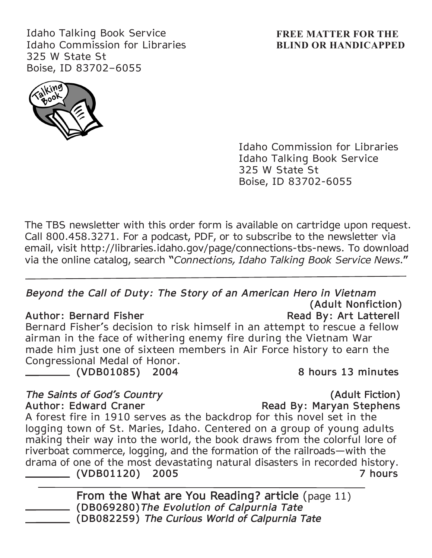Idaho Talking Book Service Idaho Commission for Libraries 325 W State St Boise, ID 83702–6055

### **FREE MATTER FOR THE BLIND OR HANDICAPPED**



Idaho Commission for Libraries Idaho Talking Book Service 325 W State St Boise, ID 83702-6055

The TBS newsletter with this order form is available on cartridge upon request. Call 800.458.3271. For a podcast, PDF, or to subscribe to the newsletter via email, visit http://libraries.idaho.gov/page/connections-tbs-news. To download via the online catalog, search "*Connections, Idaho Talking Book Service News*."

### *Beyond the Call of Duty: The Story of an American Hero in Vietnam*  **(Adult Nonfiction)**

Author: Bernard Fisher **Read By: Art Latterell** Bernard Fisher's decision to risk himself in an attempt to rescue a fellow airman in the face of withering enemy fire during the Vietnam War made him just one of sixteen members in Air Force history to earn the Congressional Medal of Honor.

 **(VDB01085) 2004 8 hours 13 minutes**

## *The Saints of God's Country* **(Adult Fiction)**

Author: Edward Craner 2008 2009 Read By: Maryan Stephens A forest fire in 1910 serves as the backdrop for this novel set in the logging town of St. Maries, Idaho. Centered on a group of young adults making their way into the world, the book draws from the colorful lore of riverboat commerce, logging, and the formation of the railroads—with the drama of one of the most devastating natural disasters in recorded history.  **(VDB01120) 2005 7 hours** 

**From the What are You Reading? article** (page 11)  **(DB069280)***The Evolution of Calpurnia Tate*  **(DB082259)** *The Curious World of Calpurnia Tate*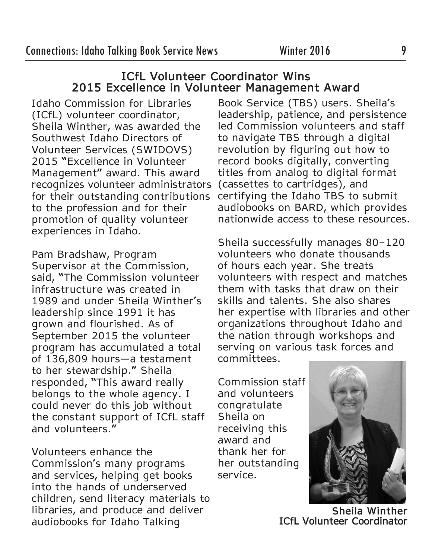### **ICfL Volunteer Coordinator Wins 2015 Excellence in Volunteer Management Award**

Idaho Commission for Libraries (ICfL) volunteer coordinator, Sheila Winther, was awarded the Southwest Idaho Directors of Volunteer Services (SWIDOVS) 2015 "Excellence in Volunteer Management" award. This award recognizes volunteer administrators for their outstanding contributions to the profession and for their promotion of quality volunteer experiences in Idaho.

Pam Bradshaw, Program Supervisor at the Commission, said, "The Commission volunteer infrastructure was created in 1989 and under Sheila Winther's leadership since 1991 it has grown and flourished. As of September 2015 the volunteer program has accumulated a total of 136,809 hours—a testament to her stewardship." Sheila responded, "This award really belongs to the whole agency. I could never do this job without the constant support of ICfL staff and volunteers."

Volunteers enhance the Commission's many programs and services, helping get books into the hands of underserved children, send literacy materials to libraries, and produce and deliver audiobooks for Idaho Talking

Book Service (TBS) users. Sheila's leadership, patience, and persistence led Commission volunteers and staff to navigate TBS through a digital revolution by figuring out how to record books digitally, converting titles from analog to digital format (cassettes to cartridges), and certifying the Idaho TBS to submit audiobooks on BARD, which provides nationwide access to these resources.

Sheila successfully manages 80–120 volunteers who donate thousands of hours each year. She treats volunteers with respect and matches them with tasks that draw on their skills and talents. She also shares her expertise with libraries and other organizations throughout Idaho and the nation through workshops and serving on various task forces and committees.

Commission staff and volunteers congratulate Sheila on receiving this award and thank her for her outstanding service.



**Sheila Winther ICfL Volunteer Coordinator**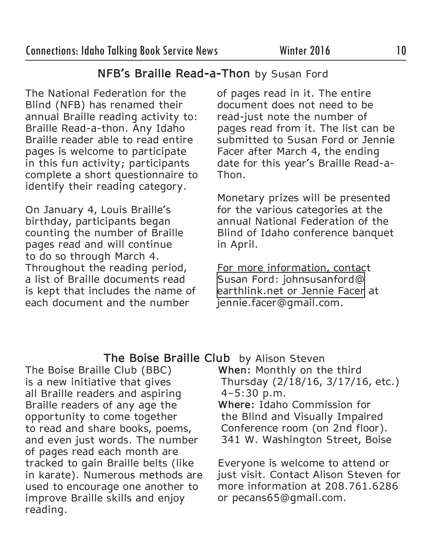## **NFB's Braille Read-a-Thon** by Susan Ford

The National Federation for the Blind (NFB) has renamed their annual Braille reading activity to: Braille Read-a-thon. Any Idaho Braille reader able to read entire pages is welcome to participate in this fun activity; participants complete a short questionnaire to identify their reading category.

On January 4, Louis Braille's birthday, participants began counting the number of Braille pages read and will continue to do so through March 4. Throughout the reading period, a list of Braille documents read is kept that includes the name of each document and the number

of pages read in it. The entire document does not need to be read-just note the number of pages read from it. The list can be submitted to Susan Ford or Jennie Facer after March 4, the ending date for this year's Braille Read-a-Thon.

Monetary prizes will be presented for the various categories at the annual National Federation of the Blind of Idaho conference banquet in April.

For more information, contact Susan Ford: johnsusanford@ [earthlink.net or Jennie Facer](mailto:johnsusanford@earthlink.net) at jennie.facer@gmail.com.

## **The Boise Braille Club** by Alison Steven

The Boise Braille Club (BBC) is a new initiative that gives all Braille readers and aspiring Braille readers of any age the opportunity to come together to read and share books, poems, and even just words. The number of pages read each month are tracked to gain Braille belts (like in karate). Numerous methods are used to encourage one another to improve Braille skills and enjoy reading.

**When:** Monthly on the third Thursday (2/18/16, 3/17/16, etc.) 4–5:30 p.m.

**Where:** Idaho Commission for the Blind and Visually Impaired Conference room (on 2nd floor). 341 W. Washington Street, Boise

Everyone is welcome to attend or just visit. Contact Alison Steven for more information at 208.761.6286 or pecans65@gmail.com.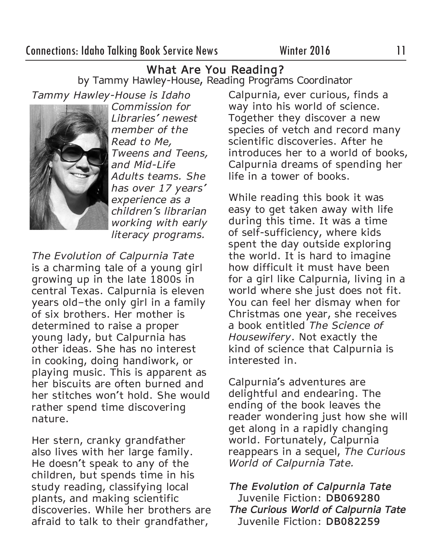**What Are You Reading?** by Tammy Hawley-House, Reading Programs Coordinator

*Tammy Hawley-House is Idaho* 



*Commission for Libraries' newest member of the Read to Me, Tweens and Teens, and Mid-Life Adults teams. She has over 17 years' experience as a children's librarian working with early literacy programs.* 

*The Evolution of Calpurnia Tate*  is a charming tale of a young girl growing up in the late 1800s in central Texas. Calpurnia is eleven years old–the only girl in a family of six brothers. Her mother is determined to raise a proper young lady, but Calpurnia has other ideas. She has no interest in cooking, doing handiwork, or playing music. This is apparent as her biscuits are often burned and her stitches won't hold. She would rather spend time discovering nature.

Her stern, cranky grandfather also lives with her large family. He doesn't speak to any of the children, but spends time in his study reading, classifying local plants, and making scientific discoveries. While her brothers are afraid to talk to their grandfather,

Calpurnia, ever curious, finds a way into his world of science. Together they discover a new species of vetch and record many scientific discoveries. After he introduces her to a world of books, Calpurnia dreams of spending her life in a tower of books.

While reading this book it was easy to get taken away with life during this time. It was a time of self-sufficiency, where kids spent the day outside exploring the world. It is hard to imagine how difficult it must have been for a girl like Calpurnia, living in a world where she just does not fit. You can feel her dismay when for Christmas one year, she receives a book entitled *The Science of Housewifery*. Not exactly the kind of science that Calpurnia is interested in.

Calpurnia's adventures are delightful and endearing. The ending of the book leaves the reader wondering just how she will get along in a rapidly changing world. Fortunately, Calpurnia reappears in a sequel, *The Curious World of Calpurnia Tate.*

*The Evolution of Calpurnia Tate* Juvenile Fiction: **DB069280** *The Curious World of Calpurnia Tate* Juvenile Fiction: **DB082259**